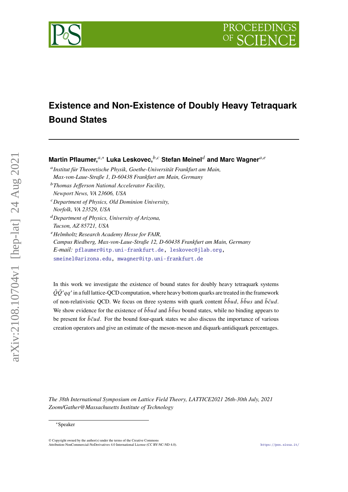



# **Existence and Non-Existence of Doubly Heavy Tetraquark Bound States**

**Martin Pflaumer,**<sup>a,∗</sup> Luka Leskovec,<sup>*b,c*</sup> Stefan Meinel<sup>d</sup> and Marc Wagner<sup>a,e</sup>

- *Institut für Theoretische Physik, Goethe-Universität Frankfurt am Main, Max-von-Laue-Straße 1, D-60438 Frankfurt am Main, Germany*
- *Thomas Jefferson National Accelerator Facility,*
- *Newport News, VA 23606, USA*
- *Department of Physics, Old Dominion University,*

- *Department of Physics, University of Arizona, Tucson, AZ 85721, USA*
- *Helmholtz Research Academy Hesse for FAIR,*
- *Campus Riedberg, Max-von-Laue-Straße 12, D-60438 Frankfurt am Main, Germany E-mail:* [pflaumer@itp.uni-frankfurt.de,](mailto:pflaumer@itp.uni-frankfurt.de) [leskovec@jlab.org,](mailto:leskovec@jlab.org) [smeinel@arizona.edu,](mailto:smeinel@arizona.edu) [mwagner@itp.uni-frankfurt.de](mailto:mwagner@itp.uni-frankfurt.de)

In this work we investigate the existence of bound states for doubly heavy tetraquark systems  $\bar{Q}\bar{Q}'qq'$  in a full lattice-QCD computation, where heavy bottom quarks are treated in the framework of non-relativistic OCD. We focus on three systems with quark content  $\bar{b} \bar{b} u d$ ,  $\bar{b} \bar{b} u s$  and  $\bar{b} \bar{c} u d$ . We show evidence for the existence of  $\bar{b} \bar{b} u d$  and  $\bar{b} \bar{b} u s$  bound states, while no binding appears to be present for  $\bar{b}\bar{c}ud$ . For the bound four-quark states we also discuss the importance of various creation operators and give an estimate of the meson-meson and diquark-antidiquark percentages.

*The 38th International Symposium on Lattice Field Theory, LATTICE2021 26th-30th July, 2021 Zoom/Gather@Massachusetts Institute of Technology*

arXiv:2108.10704v1 [hep-lat] 24 Aug 2021

 $arXiv:2108.10704v1$  [hep-lat] 24 Aug 2021

*Norfolk, VA 23529, USA*

<sup>∗</sup>Speaker

 $\odot$  Copyright owned by the author(s) under the terms of the Creative Common Attribution-NonCommercial-NoDerivatives 4.0 International License (CC BY-NC-ND 4.0). <https://pos.sissa.it/>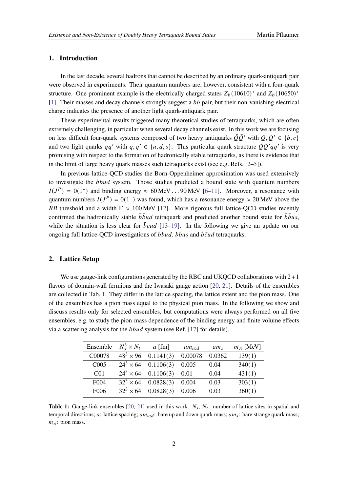#### **1. Introduction**

In the last decade, several hadrons that cannot be described by an ordinary quark-antiquark pair were observed in experiments. Their quantum numbers are, however, consistent with a four-quark structure. One prominent example is the electrically charged states  $Z_b(10610)^+$  and  $Z_b(10650)^+$ [\[1\]](#page-7-0). Their masses and decay channels strongly suggest a  $\bar{b}b$  pair, but their non-vanishing electrical charge indicates the presence of another light quark-antiquark pair.

These experimental results triggered many theoretical studies of tetraquarks, which are often extremely challenging, in particular when several decay channels exist. In this work we are focusing on less difficult four-quark systems composed of two heavy antiquarks  $\overline{O}O'$  with  $O, O' \in \{b, c\}$ and two light quarks  $qq'$  with  $q, q' \in \{u, d, s\}$ . This particular quark structure  $\overline{Q}\overline{Q}'qq'$  is very promising with respect to the formation of hadronically stable tetraquarks, as there is evidence that in the limit of large heavy quark masses such tetraquarks exist (see e.g. Refs. [\[2–](#page-7-1)[5\]](#page-7-2)).

In previous lattice-QCD studies the Born-Oppenheimer approximation was used extensively to investigate the  $\bar{b} \bar{b} u d$  system. Those studies predicted a bound state with quantum numbers  $I(J<sup>P</sup>) = 0(1<sup>+</sup>)$  and binding energy  $\approx 60$  MeV ... 90 MeV [\[6](#page-7-3)[–11\]](#page-7-4). Moreover, a resonance with quantum numbers  $I(J^P) = 0(1^-)$  was found, which has a resonance energy  $\approx 20$  MeV above the BB threshold and a width  $\Gamma \approx 100$  MeV [\[12\]](#page-7-5). More rigorous full lattice-QCD studies recently confirmed the hadronically stable  $\bar{b} \bar{b} u d$  tetraquark and predicted another bound state for  $\bar{b} \bar{b} u s$ , while the situation is less clear for  $\bar{b}\bar{c}ud$  [\[13](#page-7-6)[–19\]](#page-8-0). In the following we give an update on our ongoing full lattice-OCD investigations of  $\bar{b} \bar{b} u d$ ,  $\bar{b} \bar{b} u s$  and  $\bar{b} \bar{c} u d$  tetraquarks.

### **2. Lattice Setup**

We use gauge-link configurations generated by the RBC and UKQCD collaborations with  $2+1$ flavors of domain-wall fermions and the Iwasaki gauge action [\[20,](#page-8-1) [21\]](#page-8-2). Details of the ensembles are collected in Tab. [1.](#page-1-0) They differ in the lattice spacing, the lattice extent and the pion mass. One of the ensembles has a pion mass equal to the physical pion mass. In the following we show and discuss results only for selected ensembles, but computations were always performed on all five ensembles, e.g. to study the pion-mass dependence of the binding energy and finite volume effects via a scattering analysis for the  $\bar{b} \bar{b} u d$  system (see Ref. [\[17\]](#page-8-3) for details).

<span id="page-1-0"></span>

| Ensemble          | $N_s^3 \times N_t$ | $a$ [fm]  | $am_{u:d}$ | $am_s$ | $m_\pi$ [MeV] |
|-------------------|--------------------|-----------|------------|--------|---------------|
| C00078            | $48^{3} \times 96$ | 0.1141(3) | 0.00078    | 0.0362 | 139(1)        |
| C <sub>005</sub>  | $24^3 \times 64$   | 0.1106(3) | 0.005      | 0.04   | 340(1)        |
| CO <sub>1</sub>   | $24^3 \times 64$   | 0.1106(3) | 0.01       | 0.04   | 431(1)        |
| F <sub>0</sub> 04 | $32^3 \times 64$   | 0.0828(3) | 0.004      | 0.03   | 303(1)        |
| F <sub>006</sub>  | $32^3 \times 64$   | 0.0828(3) | 0.006      | 0.03   | 360(1)        |

**Table 1:** Gauge-link ensembles [\[20,](#page-8-1) [21\]](#page-8-2) used in this work.  $N_s$ ,  $N_t$ : number of lattice sites in spatial and temporal directions; a: lattice spacing;  $am_{u:d}$ : bare up and down quark mass;  $am_s$ : bare strange quark mass;  $m_\pi$ : pion mass.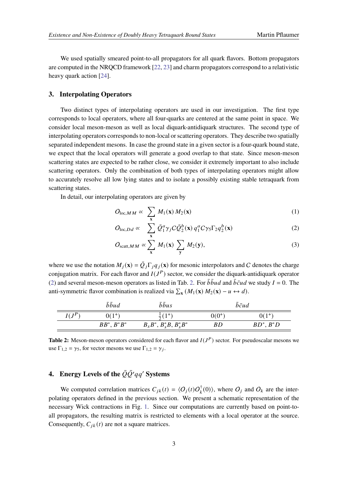We used spatially smeared point-to-all propagators for all quark flavors. Bottom propagators are computed in the NRQCD framework [\[22,](#page-8-4) [23\]](#page-8-5) and charm propagators correspond to a relativistic heavy quark action [\[24\]](#page-8-6).

#### **3. Interpolating Operators**

Two distinct types of interpolating operators are used in our investigation. The first type corresponds to local operators, where all four-quarks are centered at the same point in space. We consider local meson-meson as well as local diquark-antidiquark structures. The second type of interpolating operators corresponds to non-local or scattering operators. They describe two spatially separated independent mesons. In case the ground state in a given sector is a four-quark bound state, we expect that the local operators will generate a good overlap to that state. Since meson-meson scattering states are expected to be rather close, we consider it extremely important to also include scattering operators. Only the combination of both types of interpolating operators might allow to accurately resolve all low lying states and to isolate a possibly existing stable tetraquark from scattering states.

In detail, our interpolating operators are given by

<span id="page-2-0"></span>
$$
O_{\text{loc},MM} \propto \sum_{\mathbf{x}} M_1(\mathbf{x}) M_2(\mathbf{x}) \tag{1}
$$

$$
O_{\text{loc},Dd} \propto \sum_{\mathbf{x}} \bar{Q}_1^a \gamma_j C \bar{Q}_2^b(\mathbf{x}) q_1^a C \gamma_5 \Gamma_2 q_2^b(\mathbf{x}) \tag{2}
$$

$$
O_{\text{scatt},MM} \propto \sum_{\mathbf{x}} M_1(\mathbf{x}) \sum_{\mathbf{y}} M_2(\mathbf{y}), \tag{3}
$$

where we use the notation  $M_i(\mathbf{x}) = \bar{Q}_i \Gamma_i q_i(\mathbf{x})$  for mesonic interpolators and C denotes the charge conjugation matrix. For each flavor and  $I(J^P)$  sector, we consider the diquark-antidiquark operator [\(2\)](#page-2-0) and several meson-meson operators as listed in Tab. [2.](#page-2-1) For  $\bar{b} \bar{b} u d$  and  $\bar{b} \bar{c} u d$  we study  $I = 0$ . The anti-symmetric flavor combination is realized via  $\sum_{\mathbf{x}} (M_1(\mathbf{x}) M_2(\mathbf{x}) - u \leftrightarrow d)$ .

<span id="page-2-1"></span>

|          | $\bar{b} \bar{b} u d$ | bbus                          | $b\bar{c}$ ud |              |
|----------|-----------------------|-------------------------------|---------------|--------------|
| $I(J^P)$ | $0(1^{+})$            |                               | $0(0^{+})$    |              |
|          | $BB^*, B^*B^*$        | $B_s B^*, B_s^* B, B_s^* B^*$ | ВD            | $BD^*, B^*D$ |

**Table 2:** Meson-meson operators considered for each flavor and  $I(J^P)$  sector. For pseudoscalar mesons we use  $\Gamma_{1,2} = \gamma_5$ , for vector mesons we use  $\Gamma_{1,2} = \gamma_j$ .

## **4.** Energy Levels of the  $\overline{Q}\overline{Q}'qq'$  Systems

We computed correlation matrices  $C_{jk}(t) = \langle O_j(t)O_k^{\dagger}(0) \rangle$ , where  $O_j$  and  $O_k$  are the interpolating operators defined in the previous section. We present a schematic representation of the necessary Wick contractions in Fig. [1.](#page-3-0) Since our computations are currently based on point-toall propagators, the resulting matrix is restricted to elements with a local operator at the source. Consequently,  $C_{ik}(t)$  are not a square matrices.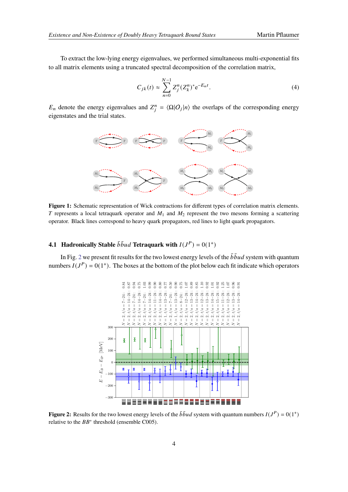To extract the low-lying energy eigenvalues, we performed simultaneous multi-exponential fits to all matrix elements using a truncated spectral decomposition of the correlation matrix,

<span id="page-3-2"></span>
$$
C_{jk}(t) \approx \sum_{n=0}^{N-1} Z_j^n (Z_k^n)^* e^{-E_n t}.
$$
 (4)

<span id="page-3-0"></span> $E_n$  denote the energy eigenvalues and  $Z_i^n = \langle \Omega | O_j | n \rangle$  the overlaps of the corresponding energy eigenstates and the trial states.



**Figure 1:** Schematic representation of Wick contractions for different types of correlation matrix elements. T represents a local tetraquark operator and  $M_1$  and  $M_2$  represent the two mesons forming a scattering operator. Black lines correspond to heavy quark propagators, red lines to light quark propagators.

### **4.1 Hadronically Stable**  $\bar{b} \bar{b} u d$  Tetraquark with  $I(J^P) = 0(1^+)$

<span id="page-3-1"></span>In Fig. [2](#page-3-1) we present fit results for the two lowest energy levels of the  $\bar{b} \bar{b} u d$  system with quantum numbers  $I(J^P) = 0(1^+)$ . The boxes at the bottom of the plot below each fit indicate which operators



**Figure 2:** Results for the two lowest energy levels of the  $\bar{b} \bar{b} u d$  system with quantum numbers  $I(J^P) = 0(1^+)$ relative to the  $BB^*$  threshold (ensemble C005).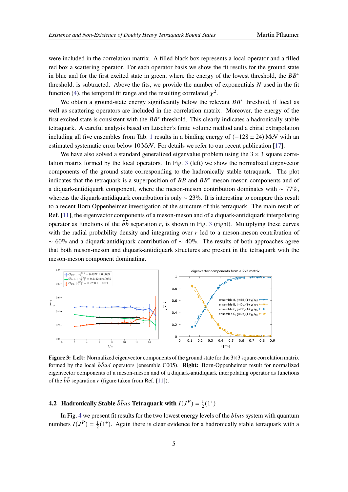were included in the correlation matrix. A filled black box represents a local operator and a filled red box a scattering operator. For each operator basis we show the fit results for the ground state in blue and for the first excited state in green, where the energy of the lowest threshold, the  $BB^*$ threshold, is subtracted. Above the fits, we provide the number of exponentials  $N$  used in the fit function [\(4\)](#page-3-2), the temporal fit range and the resulting correlated  $\chi^2$ .

We obtain a ground-state energy significantly below the relevant  $BB^*$  threshold, if local as well as scattering operators are included in the correlation matrix. Moreover, the energy of the first excited state is consistent with the  $BB^*$  threshold. This clearly indicates a hadronically stable tetraquark. A careful analysis based on Lüscher's finite volume method and a chiral extrapolation including all five ensembles from Tab. [1](#page-1-0) results in a binding energy of  $(-128 \pm 24)$  MeV with an estimated systematic error below 10 MeV. For details we refer to our recent publication [\[17\]](#page-8-3).

We have also solved a standard generalized eigenvalue problem using the  $3 \times 3$  square correlation matrix formed by the local operators. In Fig. [3](#page-4-0) (left) we show the normalized eigenvector components of the ground state corresponding to the hadronically stable tetraquark. The plot indicates that the tetraquark is a superposition of  $BB$  and  $BB^*$  meson-meson components and of a diquark-antidiquark component, where the meson-meson contribution dominates with ~ 77%, whereas the diquark-antidiquark contribution is only  $\sim$  23%. It is interesting to compare this result to a recent Born Oppenheimer investigation of the structure of this tetraquark. The main result of Ref. [\[11\]](#page-7-4), the eigenvector components of a meson-meson and of a diquark-antidiquark interpolating operator as functions of the  $b\bar{b}$  separation r, is shown in Fig. [3](#page-4-0) (right). Multiplying these curves with the radial probability density and integrating over  $r$  led to a meson-meson contribution of  $~\sim 60\%$  and a diquark-antidiquark contribution of  $~\sim 40\%$ . The results of both approaches agree that both meson-meson and diquark-antidiquark structures are present in the tetraquark with the meson-meson component dominating.

<span id="page-4-0"></span>

**Figure 3: Left:** Normalized eigenvector components of the ground state for the 3×3 square correlation matrix formed by the local *bbud* operators (ensemble C005). **Right:** Born-Oppenheimer result for normalized eigenvector components of a meson-meson and of a diquark-antidiquark interpolating operator as functions of the  $\bar{b}\bar{b}$  separation r (figure taken from Ref. [\[11\]](#page-7-4)).

#### **4.2 Hadronically Stable**  $\bar{b} \bar{b} u s$  Tetraquark with  $I(J^P) = \frac{1}{2}$  $\frac{1}{2}(1^+)$

In Fig. [4](#page-5-0) we present fit results for the two lowest energy levels of the  $\bar{b}$  bus system with quantum numbers  $I(J^P) = \frac{1}{2}$  $\frac{1}{2}(1^+)$ . Again there is clear evidence for a hadronically stable tetraquark with a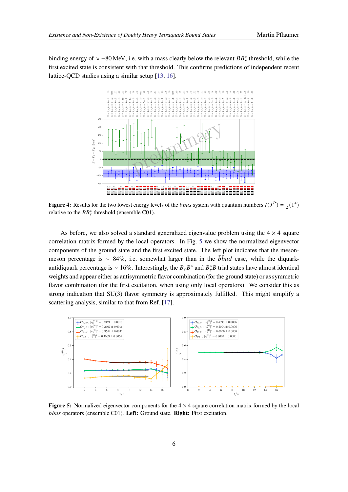<span id="page-5-0"></span>binding energy of  $\approx -80$  MeV, i.e. with a mass clearly below the relevant  $BB_s^*$  threshold, while the first excited state is consistent with that threshold. This confirms predictions of independent recent lattice-QCD studies using a similar setup [\[13,](#page-7-6) [16\]](#page-8-7).



**Figure 4:** Results for the two lowest energy levels of the  $b\bar{b}us$  system with quantum numbers  $I(J^P) = \frac{1}{2}(1^+)$ relative to the  $BB_s^*$  threshold (ensemble C01).

As before, we also solved a standard generalized eigenvalue problem using the  $4 \times 4$  square correlation matrix formed by the local operators. In Fig. [5](#page-5-1) we show the normalized eigenvector components of the ground state and the first excited state. The left plot indicates that the mesonmeson percentage is ~ 84%, i.e. somewhat larger than in the  $\bar{b} \bar{b} u d$  case, while the diquarkantidiquark percentage is ~ 16%. Interestingly, the  $B_s B^*$  and  $B_s^* B$  trial states have almost identical weights and appear either as antisymmetric flavor combination (for the ground state) or as symmetric flavor combination (for the first excitation, when using only local operators). We consider this as strong indication that SU(3) flavor symmetry is approximately fulfilled. This might simplify a scattering analysis, similar to that from Ref. [\[17\]](#page-8-3).

<span id="page-5-1"></span>

**Figure 5:** Normalized eigenvector components for the  $4 \times 4$  square correlation matrix formed by the local  $\bar{b}$ *bus* operators (ensemble C01). Left: Ground state. Right: First excitation.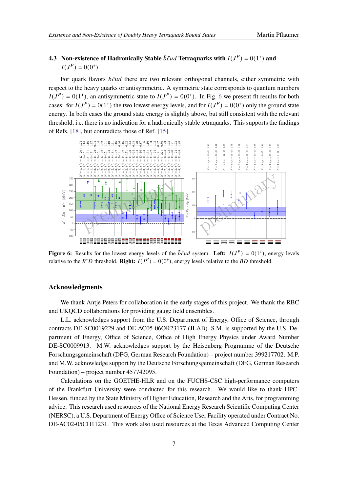### **4.3** Non-existence of Hadronically Stable  $\bar{b}\bar{c}ud$  Tetraquarks with  $I(J^P) = 0(1^+)$  and  $I(J^{P}) = 0(0^{+})$

For quark flavors  $\bar{b}\bar{c}ud$  there are two relevant orthogonal channels, either symmetric with respect to the heavy quarks or antisymmetric. A symmetric state corresponds to quantum numbers  $I(J^P) = 0(1^+)$ , an antisymmetric state to  $I(J^P) = 0(0^+)$ . In Fig. [6](#page-6-0) we present fit results for both cases: for  $I(J^P) = 0(1^+)$  the two lowest energy levels, and for  $I(J^P) = 0(0^+)$  only the ground state energy. In both cases the ground state energy is slightly above, but still consistent with the relevant threshold, i.e. there is no indication for a hadronically stable tetraquarks. This supports the findings of Refs. [\[18\]](#page-8-8), but contradicts those of Ref. [\[15\]](#page-8-9).

<span id="page-6-0"></span>

**Figure 6:** Results for the lowest energy levels of the  $\bar{b}\bar{c}ud$  system. Left:  $I(J^P) = 0(1^+)$ , energy levels relative to the  $B^*D$  threshold. **Right:**  $I(J^P) = 0(0^+)$ , energy levels relative to the *BD* threshold.

### **Acknowledgments**

We thank Antje Peters for collaboration in the early stages of this project. We thank the RBC and UKQCD collaborations for providing gauge field ensembles.

L.L. acknowledges support from the U.S. Department of Energy, Office of Science, through contracts DE-SC0019229 and DE-AC05-06OR23177 (JLAB). S.M. is supported by the U.S. Department of Energy, Office of Science, Office of High Energy Physics under Award Number DE-SC0009913. M.W. acknowledges support by the Heisenberg Programme of the Deutsche Forschungsgemeinschaft (DFG, German Research Foundation) – project number 399217702. M.P. and M.W. acknowledge support by the Deutsche Forschungsgemeinschaft (DFG, German Research Foundation) – project number 457742095.

Calculations on the GOETHE-HLR and on the FUCHS-CSC high-performance computers of the Frankfurt University were conducted for this research. We would like to thank HPC-Hessen, funded by the State Ministry of Higher Education, Research and the Arts, for programming advice. This research used resources of the National Energy Research Scientific Computing Center (NERSC), a U.S. Department of Energy Office of Science User Facility operated under Contract No. DE-AC02-05CH11231. This work also used resources at the Texas Advanced Computing Center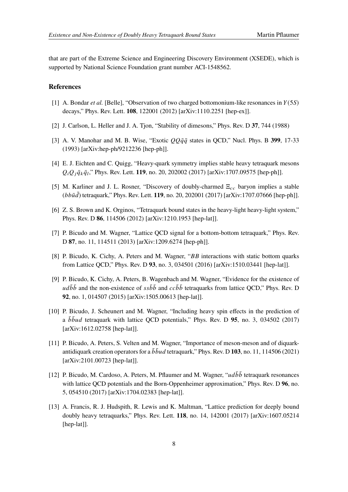that are part of the Extreme Science and Engineering Discovery Environment (XSEDE), which is supported by National Science Foundation grant number ACI-1548562.

### **References**

- <span id="page-7-0"></span>[1] A. Bondar *et al.* [Belle], "Observation of two charged bottomonium-like resonances in  $Y(5S)$ decays," Phys. Rev. Lett. **108**, 122001 (2012) [arXiv:1110.2251 [hep-ex]].
- <span id="page-7-1"></span>[2] J. Carlson, L. Heller and J. A. Tjon, "Stability of dimesons," Phys. Rev. D **37**, 744 (1988)
- [3] A. V. Manohar and M. B. Wise, "Exotic  $QQ\bar{q}\bar{q}$  states in QCD," Nucl. Phys. B 399, 17-33 (1993) [arXiv:hep-ph/9212236 [hep-ph]].
- [4] E. J. Eichten and C. Quigg, "Heavy-quark symmetry implies stable heavy tetraquark mesons  $Q_i Q_j \bar{q}_k \bar{q}_l$ ," Phys. Rev. Lett. **119**, no. 20, 202002 (2017) [arXiv:1707.09575 [hep-ph]].
- <span id="page-7-2"></span>[5] M. Karliner and J. L. Rosner, "Discovery of doubly-charmed  $\Xi_{cc}$  baryon implies a stable (bbud) tetraquark," Phys. Rev. Lett. **119**, no. 20, 202001 (2017) [arXiv:1707.07666 [hep-ph]].
- <span id="page-7-3"></span>[6] Z. S. Brown and K. Orginos, "Tetraquark bound states in the heavy-light heavy-light system," Phys. Rev. D **86**, 114506 (2012) [arXiv:1210.1953 [hep-lat]].
- [7] P. Bicudo and M. Wagner, "Lattice QCD signal for a bottom-bottom tetraquark," Phys. Rev. D **87**, no. 11, 114511 (2013) [arXiv:1209.6274 [hep-ph]].
- [8] P. Bicudo, K. Cichy, A. Peters and M. Wagner, " $BB$  interactions with static bottom quarks from Lattice QCD," Phys. Rev. D **93**, no. 3, 034501 (2016) [arXiv:1510.03441 [hep-lat]].
- [9] P. Bicudo, K. Cichy, A. Peters, B. Wagenbach and M. Wagner, "Evidence for the existence of  $u d\bar{b} \bar{b}$  and the non-existence of  $s s\bar{b} \bar{b}$  and  $c c\bar{b} \bar{b}$  tetraquarks from lattice QCD," Phys. Rev. D **92**, no. 1, 014507 (2015) [arXiv:1505.00613 [hep-lat]].
- [10] P. Bicudo, J. Scheunert and M. Wagner, "Including heavy spin effects in the prediction of a  $b\bar{b}\bar{u}d$  tetraquark with lattice QCD potentials," Phys. Rev. D **95**, no. 3, 034502 (2017) [arXiv:1612.02758 [hep-lat]].
- <span id="page-7-4"></span>[11] P. Bicudo, A. Peters, S. Velten and M. Wagner, "Importance of meson-meson and of diquarkantidiquark creation operators for a  $\bar{b} \bar{b} u d$  tetraquark," Phys. Rev. D 103, no. 11, 114506 (2021) [arXiv:2101.00723 [hep-lat]].
- <span id="page-7-5"></span>[12] P. Bicudo, M. Cardoso, A. Peters, M. Pflaumer and M. Wagner, " $ud\bar{b}\bar{b}$  tetraquark resonances with lattice QCD potentials and the Born-Oppenheimer approximation," Phys. Rev. D **96**, no. 5, 054510 (2017) [arXiv:1704.02383 [hep-lat]].
- <span id="page-7-6"></span>[13] A. Francis, R. J. Hudspith, R. Lewis and K. Maltman, "Lattice prediction for deeply bound doubly heavy tetraquarks," Phys. Rev. Lett. **118**, no. 14, 142001 (2017) [arXiv:1607.05214 [hep-lat]].